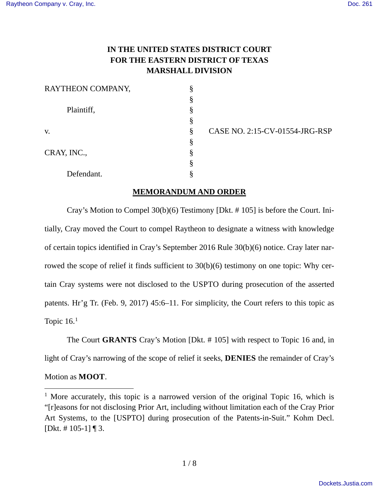# **IN THE UNITED STATES DISTRICT COURT FOR THE EASTERN DISTRICT OF TEXAS MARSHALL DIVISION**

| RAYTHEON COMPANY, |   |
|-------------------|---|
|                   | ş |
| Plaintiff,        | § |
|                   | § |
| V.                | Ş |
|                   | Ş |
| CRAY, INC.,       | § |
|                   | Ş |
| Defendant.        |   |

v. § CASE NO. 2:15-CV-01554-JRG-RSP

## **MEMORANDUM AND ORDER**

Cray's Motion to Compel 30(b)(6) Testimony [Dkt. # 105] is before the Court. Initially, Cray moved the Court to compel Raytheon to designate a witness with knowledge of certain topics identified in Cray's September 2016 Rule 30(b)(6) notice. Cray later narrowed the scope of relief it finds sufficient to 30(b)(6) testimony on one topic: Why certain Cray systems were not disclosed to the USPTO during prosecution of the asserted patents. Hr'g Tr. (Feb. 9, 2017) 45:6–11. For simplicity, the Court refers to this topic as Topic  $16<sup>1</sup>$  $16<sup>1</sup>$ 

The Court **GRANTS** Cray's Motion [Dkt. # 105] with respect to Topic 16 and, in light of Cray's narrowing of the scope of relief it seeks, **DENIES** the remainder of Cray's

## Motion as **MOOT**.

 $\overline{a}$ 

<span id="page-0-0"></span><sup>&</sup>lt;sup>1</sup> More accurately, this topic is a narrowed version of the original Topic 16, which is "[r]easons for not disclosing Prior Art, including without limitation each of the Cray Prior Art Systems, to the [USPTO] during prosecution of the Patents-in-Suit." Kohm Decl. [Dkt. # $105-1$ ] | 3.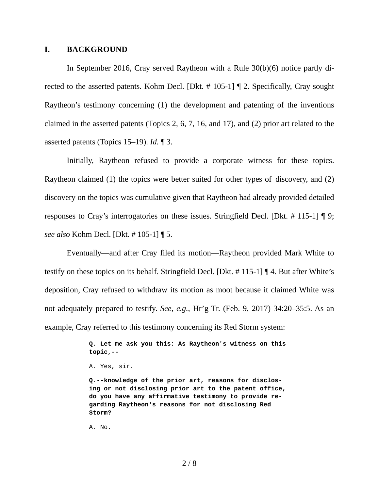## **I. BACKGROUND**

In September 2016, Cray served Raytheon with a Rule 30(b)(6) notice partly directed to the asserted patents. Kohm Decl. [Dkt. # 105-1] ¶ 2. Specifically, Cray sought Raytheon's testimony concerning (1) the development and patenting of the inventions claimed in the asserted patents (Topics 2, 6, 7, 16, and 17), and (2) prior art related to the asserted patents (Topics 15–19). *Id.* ¶ 3.

Initially, Raytheon refused to provide a corporate witness for these topics. Raytheon claimed (1) the topics were better suited for other types of discovery, and (2) discovery on the topics was cumulative given that Raytheon had already provided detailed responses to Cray's interrogatories on these issues. Stringfield Decl. [Dkt. # 115-1] ¶ 9; *see also* Kohm Decl. [Dkt. # 105-1] ¶ 5.

Eventually—and after Cray filed its motion—Raytheon provided Mark White to testify on these topics on its behalf. Stringfield Decl. [Dkt. # 115-1] ¶ 4. But after White's deposition, Cray refused to withdraw its motion as moot because it claimed White was not adequately prepared to testify. *See, e.g.*, Hr'g Tr. (Feb. 9, 2017) 34:20–35:5. As an example, Cray referred to this testimony concerning its Red Storm system:

> **Q. Let me ask you this: As Raytheon's witness on this topic,--**

**Q.--knowledge of the prior art, reasons for disclosing or not disclosing prior art to the patent office, do you have any affirmative testimony to provide regarding Raytheon's reasons for not disclosing Red Storm?**

A. No.

A. Yes, sir.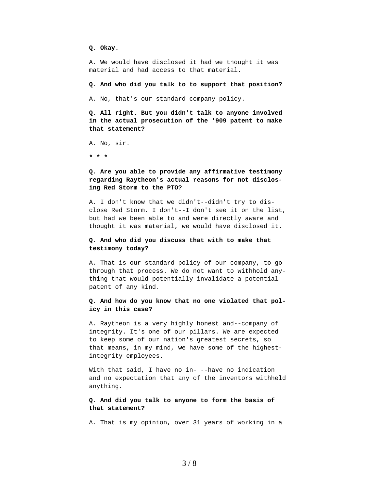**Q. Okay.**

A. We would have disclosed it had we thought it was material and had access to that material.

**Q. And who did you talk to to support that position?**

A. No, that's our standard company policy.

**Q. All right. But you didn't talk to anyone involved in the actual prosecution of the '909 patent to make that statement?**

A. No, sir.

**\* \* \***

### **Q. Are you able to provide any affirmative testimony regarding Raytheon's actual reasons for not disclosing Red Storm to the PTO?**

A. I don't know that we didn't--didn't try to disclose Red Storm. I don't--I don't see it on the list, but had we been able to and were directly aware and thought it was material, we would have disclosed it.

#### **Q. And who did you discuss that with to make that testimony today?**

A. That is our standard policy of our company, to go through that process. We do not want to withhold anything that would potentially invalidate a potential patent of any kind.

#### **Q. And how do you know that no one violated that policy in this case?**

A. Raytheon is a very highly honest and--company of integrity. It's one of our pillars. We are expected to keep some of our nation's greatest secrets, so that means, in my mind, we have some of the highestintegrity employees.

With that said, I have no in- --have no indication and no expectation that any of the inventors withheld anything.

#### **Q. And did you talk to anyone to form the basis of that statement?**

A. That is my opinion, over 31 years of working in a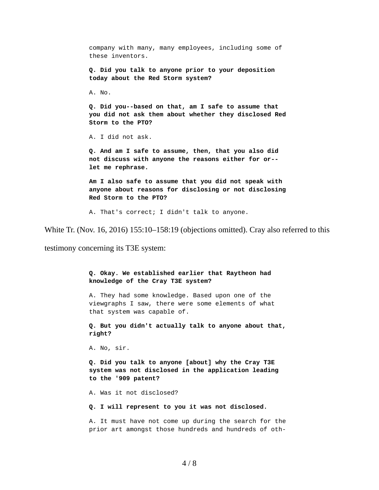company with many, many employees, including some of these inventors. **Q. Did you talk to anyone prior to your deposition today about the Red Storm system?** A. No. **Q. Did you--based on that, am I safe to assume that you did not ask them about whether they disclosed Red Storm to the PTO?** A. I did not ask. **Q. And am I safe to assume, then, that you also did not discuss with anyone the reasons either for or- let me rephrase. Am I also safe to assume that you did not speak with anyone about reasons for disclosing or not disclosing Red Storm to the PTO?** A. That's correct; I didn't talk to anyone.

White Tr. (Nov. 16, 2016) 155:10–158:19 (objections omitted). Cray also referred to this

testimony concerning its T3E system:

**Q. Okay. We established earlier that Raytheon had knowledge of the Cray T3E system?** A. They had some knowledge. Based upon one of the viewgraphs I saw, there were some elements of what that system was capable of. **Q. But you didn't actually talk to anyone about that, right?** A. No, sir. **Q. Did you talk to anyone [about] why the Cray T3E system was not disclosed in the application leading to the '909 patent?** A. Was it not disclosed? **Q. I will represent to you it was not disclosed.** A. It must have not come up during the search for the prior art amongst those hundreds and hundreds of oth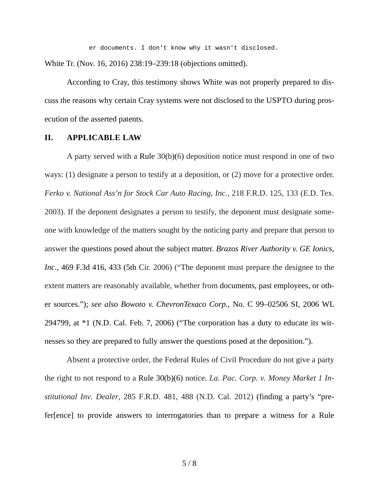er documents. I don't know why it wasn't disclosed.

White Tr. (Nov. 16, 2016) 238:19–239:18 (objections omitted).

According to Cray, this testimony shows White was not properly prepared to discuss the reasons why certain Cray systems were not disclosed to the USPTO during prosecution of the asserted patents.

### **II. APPLICABLE LAW**

A party served with a Rule 30(b)(6) deposition notice must respond in one of two ways: (1) designate a person to testify at a deposition, or (2) move for a protective order. *Ferko v. National Ass'n for Stock Car Auto Racing, Inc.*, 218 F.R.D. 125, 133 (E.D. Tex. 2003). If the deponent designates a person to testify, the deponent must designate someone with knowledge of the matters sought by the noticing party and prepare that person to answer the questions posed about the subject matter. *Brazos River Authority v. GE Ionics, Inc.*, 469 F.3d 416, 433 (5th Cir. 2006) ("The deponent must prepare the designee to the extent matters are reasonably available, whether from documents, past employees, or other sources."); *see also Bowoto v. ChevronTexaco Corp.*[, No. C 99–02506 SI, 2006 WL](https://1.next.westlaw.com/Link/Document/FullText?findType=Y&serNum=2008378594&pubNum=0000999&originatingDoc=I610c0dd6fc6211e1b343c837631e1747&refType=RP&originationContext=document&transitionType=DocumentItem&contextData=(sc.History*oc.UserEnteredCitation))  [294799, at \\*1 \(N.D. Cal. Feb. 7, 2006\)](https://1.next.westlaw.com/Link/Document/FullText?findType=Y&serNum=2008378594&pubNum=0000999&originatingDoc=I610c0dd6fc6211e1b343c837631e1747&refType=RP&originationContext=document&transitionType=DocumentItem&contextData=(sc.History*oc.UserEnteredCitation)) ("The corporation has a duty to educate its witnesses so they are prepared to fully answer the questions posed at the deposition.").

Absent a protective order, the Federal Rules of Civil Procedure do not give a party the right to not respond to a Rule 30(b)(6) notice. *La. Pac. Corp. v. Money Market 1 Institutional Inv. Dealer*, 285 F.R.D. 481, 488 (N.D. Cal. 2012) (finding a party's "prefer[ence] to provide answers to interrogatories than to prepare a witness for a Rule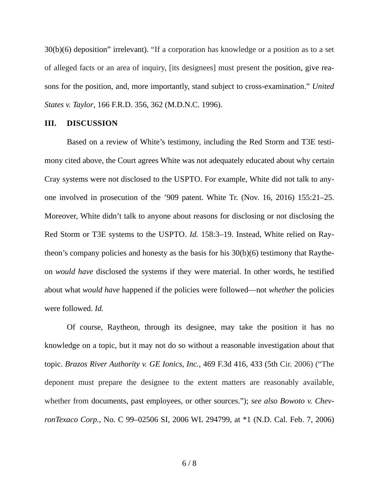30(b)(6) deposition" irrelevant). "If a corporation has knowledge or a position as to a set of alleged facts or an area of inquiry, [its designees] must present the position, give reasons for the position, and, more importantly, stand subject to cross-examination." *United States v. Taylor*, 166 F.R.D. 356, 362 (M.D.N.C. 1996).

### **III. DISCUSSION**

Based on a review of White's testimony, including the Red Storm and T3E testimony cited above, the Court agrees White was not adequately educated about why certain Cray systems were not disclosed to the USPTO. For example, White did not talk to anyone involved in prosecution of the '909 patent. White Tr. (Nov. 16, 2016) 155:21–25. Moreover, White didn't talk to anyone about reasons for disclosing or not disclosing the Red Storm or T3E systems to the USPTO. *Id.* 158:3–19. Instead, White relied on Raytheon's company policies and honesty as the basis for his 30(b)(6) testimony that Raytheon *would have* disclosed the systems if they were material. In other words, he testified about what *would have* happened if the policies were followed—not *whether* the policies were followed. *Id.*

Of course, Raytheon, through its designee, may take the position it has no knowledge on a topic, but it may not do so without a reasonable investigation about that topic. *Brazos River Authority v. GE Ionics, Inc.*, 469 F.3d 416, 433 (5th Cir. 2006) ("The deponent must prepare the designee to the extent matters are reasonably available, whether from documents, past employees, or other sources."); *see also [Bowoto v. Chev](https://1.next.westlaw.com/Link/Document/FullText?findType=Y&serNum=2008378594&pubNum=0000999&originatingDoc=I610c0dd6fc6211e1b343c837631e1747&refType=RP&originationContext=document&transitionType=DocumentItem&contextData=(sc.History*oc.UserEnteredCitation))ronTexaco Corp.*[, No. C 99–02506 SI, 2006 WL 294799, at \\*1 \(N.D. Cal. Feb. 7, 2006\)](https://1.next.westlaw.com/Link/Document/FullText?findType=Y&serNum=2008378594&pubNum=0000999&originatingDoc=I610c0dd6fc6211e1b343c837631e1747&refType=RP&originationContext=document&transitionType=DocumentItem&contextData=(sc.History*oc.UserEnteredCitation))

6 / 8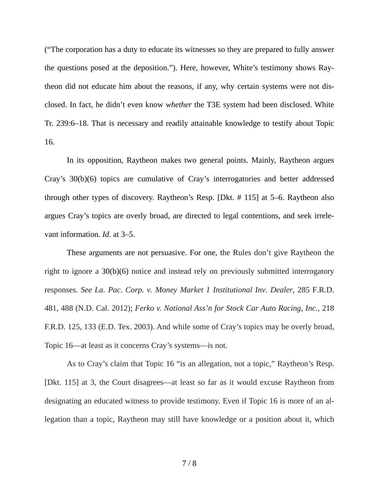("The corporation has a duty to educate its witnesses so they are prepared to fully answer the questions posed at the deposition."). Here, however, White's testimony shows Raytheon did not educate him about the reasons, if any, why certain systems were not disclosed. In fact, he didn't even know *whether* the T3E system had been disclosed. White Tr. 239:6–18. That is necessary and readily attainable knowledge to testify about Topic 16.

In its opposition, Raytheon makes two general points. Mainly, Raytheon argues Cray's 30(b)(6) topics are cumulative of Cray's interrogatories and better addressed through other types of discovery. Raytheon's Resp. [Dkt. # 115] at 5–6. Raytheon also argues Cray's topics are overly broad, are directed to legal contentions, and seek irrelevant information. *Id.* at 3–5.

These arguments are not persuasive. For one, the Rules don't give Raytheon the right to ignore a 30(b)(6) notice and instead rely on previously submitted interrogatory responses. *See La. Pac. Corp. v. Money Market 1 Institutional Inv. Dealer*, 285 F.R.D. 481, 488 (N.D. Cal. 2012); *Ferko v. National Ass'n for Stock Car Auto Racing, Inc.*, 218 F.R.D. 125, 133 (E.D. Tex. 2003). And while some of Cray's topics may be overly broad, Topic 16—at least as it concerns Cray's systems—is not.

As to Cray's claim that Topic 16 "is an allegation, not a topic," Raytheon's Resp. [Dkt. 115] at 3, the Court disagrees—at least so far as it would excuse Raytheon from designating an educated witness to provide testimony. Even if Topic 16 is more of an allegation than a topic, Raytheon may still have knowledge or a position about it, which